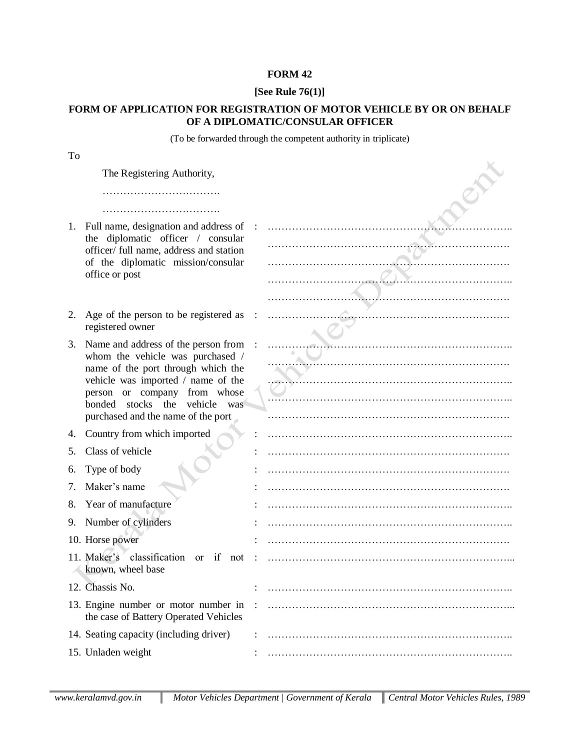## **FORM 42**

## **[See Rule 76(1)]**

## **FORM OF APPLICATION FOR REGISTRATION OF MOTOR VEHICLE BY OR ON BEHALF OF A DIPLOMATIC/CONSULAR OFFICER**

(To be forwarded through the competent authority in triplicate)

| To |                                                                                                                                                                                                                                                               |  |
|----|---------------------------------------------------------------------------------------------------------------------------------------------------------------------------------------------------------------------------------------------------------------|--|
|    | The Registering Authority,                                                                                                                                                                                                                                    |  |
|    |                                                                                                                                                                                                                                                               |  |
| 1. | Full name, designation and address of<br>the diplomatic officer / consular<br>officer/ full name, address and station<br>of the diplomatic mission/consular<br>office or post                                                                                 |  |
| 2. | Age of the person to be registered as<br>registered owner                                                                                                                                                                                                     |  |
| 3. | Name and address of the person from<br>whom the vehicle was purchased /<br>name of the port through which the<br>vehicle was imported / name of the<br>person or company from whose<br>bonded stocks the vehicle<br>was<br>purchased and the name of the port |  |
| 4. | Country from which imported                                                                                                                                                                                                                                   |  |
| 5. | Class of vehicle                                                                                                                                                                                                                                              |  |
| 6. | Type of body                                                                                                                                                                                                                                                  |  |
| 7. | Maker's name                                                                                                                                                                                                                                                  |  |
| 8. | Year of manufacture                                                                                                                                                                                                                                           |  |
| 9. | Number of cylinders                                                                                                                                                                                                                                           |  |
|    | 10. Horse power                                                                                                                                                                                                                                               |  |
|    | 11. Maker's classification<br>if<br><sub>or</sub><br>not<br>known, wheel base                                                                                                                                                                                 |  |
|    | 12. Chassis No.                                                                                                                                                                                                                                               |  |
|    | 13. Engine number or motor number in<br>the case of Battery Operated Vehicles                                                                                                                                                                                 |  |
|    | 14. Seating capacity (including driver)                                                                                                                                                                                                                       |  |
|    | 15. Unladen weight                                                                                                                                                                                                                                            |  |